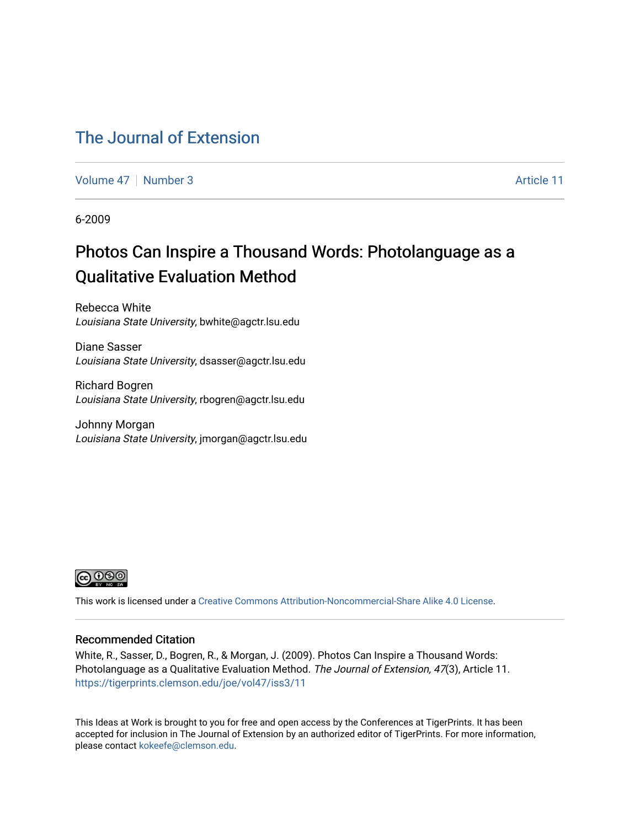#### [The Journal of Extension](https://tigerprints.clemson.edu/joe)

[Volume 47](https://tigerprints.clemson.edu/joe/vol47) | [Number 3](https://tigerprints.clemson.edu/joe/vol47/iss3) Article 11

6-2009

## Photos Can Inspire a Thousand Words: Photolanguage as a Qualitative Evaluation Method

Rebecca White Louisiana State University, bwhite@agctr.lsu.edu

Diane Sasser Louisiana State University, dsasser@agctr.lsu.edu

Richard Bogren Louisiana State University, rbogren@agctr.lsu.edu

Johnny Morgan Louisiana State University, jmorgan@agctr.lsu.edu



This work is licensed under a [Creative Commons Attribution-Noncommercial-Share Alike 4.0 License.](https://creativecommons.org/licenses/by-nc-sa/4.0/)

#### Recommended Citation

White, R., Sasser, D., Bogren, R., & Morgan, J. (2009). Photos Can Inspire a Thousand Words: Photolanguage as a Qualitative Evaluation Method. The Journal of Extension, 47(3), Article 11. <https://tigerprints.clemson.edu/joe/vol47/iss3/11>

This Ideas at Work is brought to you for free and open access by the Conferences at TigerPrints. It has been accepted for inclusion in The Journal of Extension by an authorized editor of TigerPrints. For more information, please contact [kokeefe@clemson.edu](mailto:kokeefe@clemson.edu).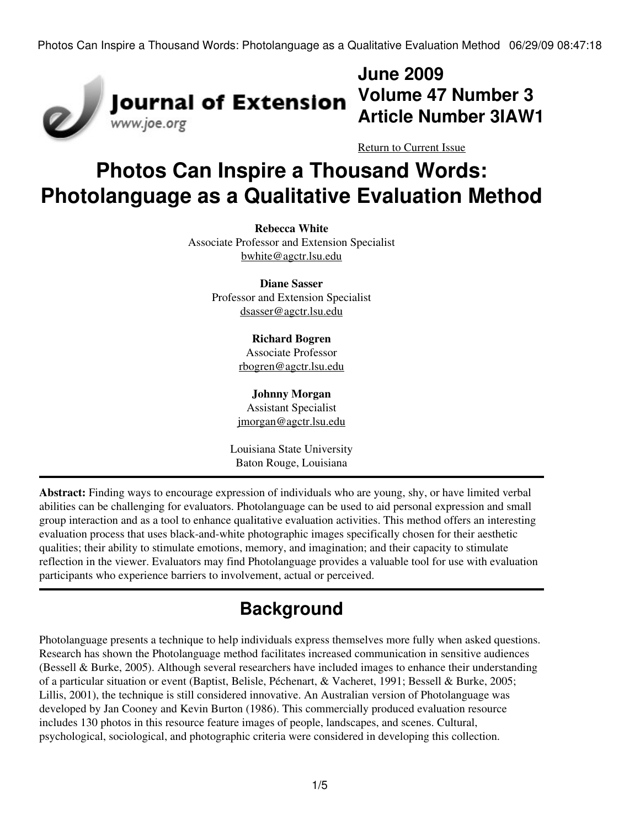

## **June 2009 Volume 47 Number 3 Article Number 3IAW1**

[Return to Current Issue](http://www.joe.org:80/joe/2009june/)

# **Photos Can Inspire a Thousand Words: Photolanguage as a Qualitative Evaluation Method**

**Rebecca White** Associate Professor and Extension Specialist [bwhite@agctr.lsu.edu](mailto:bwhite@agctr.lsu.edu)

> **Diane Sasser** Professor and Extension Specialist [dsasser@agctr.lsu.edu](mailto:dsasser@agctr.lsu.edu)

> > **Richard Bogren** Associate Professor [rbogren@agctr.lsu.edu](mailto:rbogren@agctr.lsu.edu)

**Johnny Morgan** Assistant Specialist [jmorgan@agctr.lsu.edu](mailto:jmorgan@agctr.lsu.edu)

Louisiana State University Baton Rouge, Louisiana

**Abstract:** Finding ways to encourage expression of individuals who are young, shy, or have limited verbal abilities can be challenging for evaluators. Photolanguage can be used to aid personal expression and small group interaction and as a tool to enhance qualitative evaluation activities. This method offers an interesting evaluation process that uses black-and-white photographic images specifically chosen for their aesthetic qualities; their ability to stimulate emotions, memory, and imagination; and their capacity to stimulate reflection in the viewer. Evaluators may find Photolanguage provides a valuable tool for use with evaluation participants who experience barriers to involvement, actual or perceived.

# **Background**

Photolanguage presents a technique to help individuals express themselves more fully when asked questions. Research has shown the Photolanguage method facilitates increased communication in sensitive audiences (Bessell & Burke, 2005). Although several researchers have included images to enhance their understanding of a particular situation or event (Baptist, Belisle, Péchenart, & Vacheret, 1991; Bessell & Burke, 2005; Lillis, 2001), the technique is still considered innovative. An Australian version of Photolanguage was developed by Jan Cooney and Kevin Burton (1986). This commercially produced evaluation resource includes 130 photos in this resource feature images of people, landscapes, and scenes. Cultural, psychological, sociological, and photographic criteria were considered in developing this collection.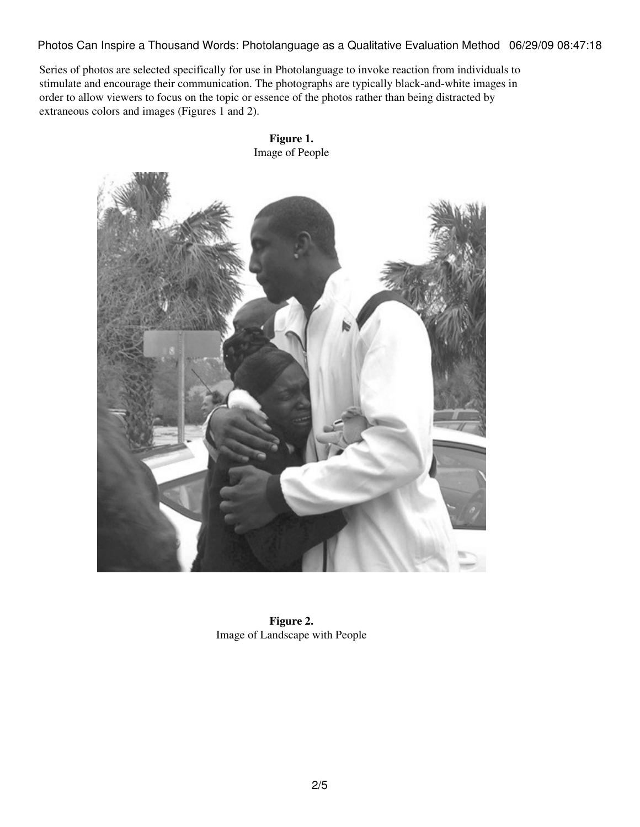Series of photos are selected specifically for use in Photolanguage to invoke reaction from individuals to stimulate and encourage their communication. The photographs are typically black-and-white images in order to allow viewers to focus on the topic or essence of the photos rather than being distracted by extraneous colors and images (Figures 1 and 2).



**Figure 1.** Image of People

**Figure 2.** Image of Landscape with People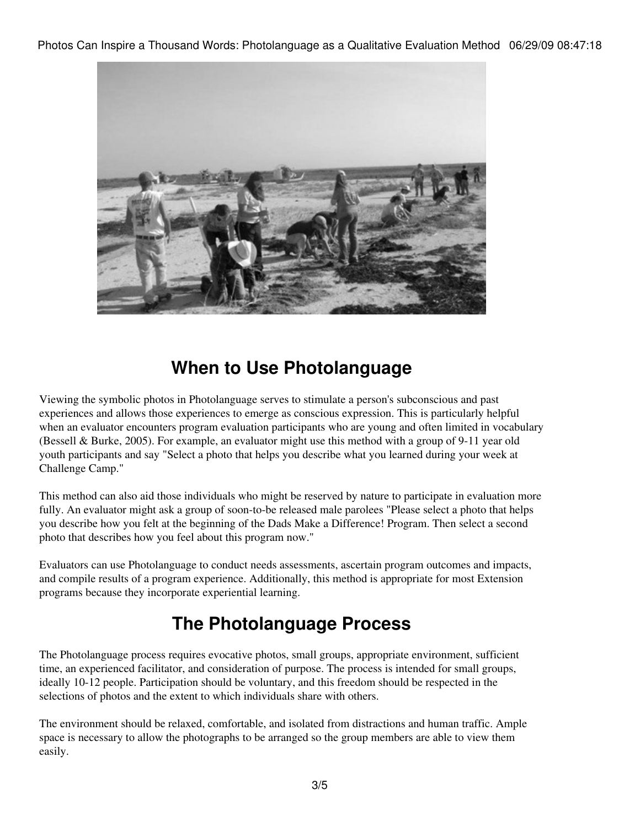

## **When to Use Photolanguage**

Viewing the symbolic photos in Photolanguage serves to stimulate a person's subconscious and past experiences and allows those experiences to emerge as conscious expression. This is particularly helpful when an evaluator encounters program evaluation participants who are young and often limited in vocabulary (Bessell & Burke, 2005). For example, an evaluator might use this method with a group of 9-11 year old youth participants and say "Select a photo that helps you describe what you learned during your week at Challenge Camp."

This method can also aid those individuals who might be reserved by nature to participate in evaluation more fully. An evaluator might ask a group of soon-to-be released male parolees "Please select a photo that helps you describe how you felt at the beginning of the Dads Make a Difference! Program. Then select a second photo that describes how you feel about this program now."

Evaluators can use Photolanguage to conduct needs assessments, ascertain program outcomes and impacts, and compile results of a program experience. Additionally, this method is appropriate for most Extension programs because they incorporate experiential learning.

## **The Photolanguage Process**

The Photolanguage process requires evocative photos, small groups, appropriate environment, sufficient time, an experienced facilitator, and consideration of purpose. The process is intended for small groups, ideally 10-12 people. Participation should be voluntary, and this freedom should be respected in the selections of photos and the extent to which individuals share with others.

The environment should be relaxed, comfortable, and isolated from distractions and human traffic. Ample space is necessary to allow the photographs to be arranged so the group members are able to view them easily.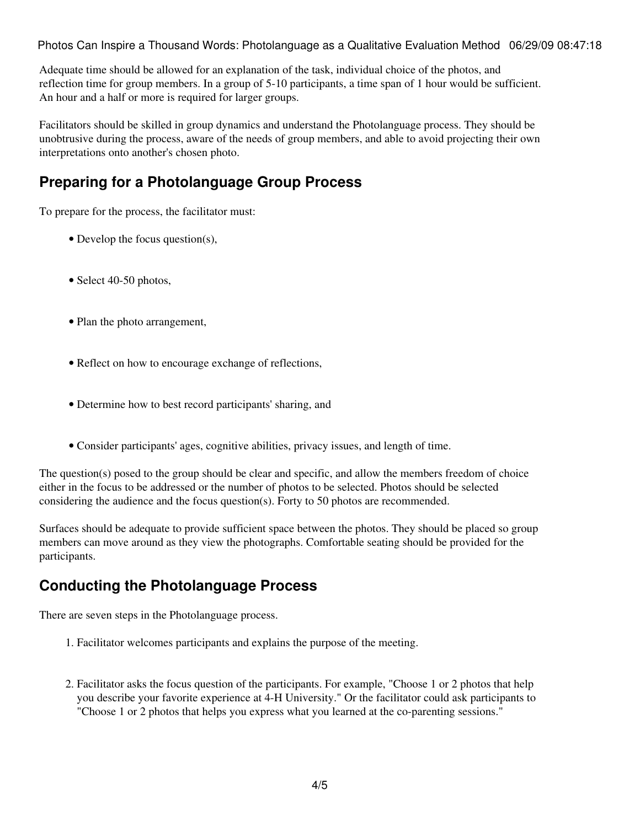Adequate time should be allowed for an explanation of the task, individual choice of the photos, and reflection time for group members. In a group of 5-10 participants, a time span of 1 hour would be sufficient. An hour and a half or more is required for larger groups.

Facilitators should be skilled in group dynamics and understand the Photolanguage process. They should be unobtrusive during the process, aware of the needs of group members, and able to avoid projecting their own interpretations onto another's chosen photo.

#### **Preparing for a Photolanguage Group Process**

To prepare for the process, the facilitator must:

- Develop the focus question(s),
- Select 40-50 photos,
- Plan the photo arrangement,
- Reflect on how to encourage exchange of reflections,
- Determine how to best record participants' sharing, and
- Consider participants' ages, cognitive abilities, privacy issues, and length of time.

The question(s) posed to the group should be clear and specific, and allow the members freedom of choice either in the focus to be addressed or the number of photos to be selected. Photos should be selected considering the audience and the focus question(s). Forty to 50 photos are recommended.

Surfaces should be adequate to provide sufficient space between the photos. They should be placed so group members can move around as they view the photographs. Comfortable seating should be provided for the participants.

#### **Conducting the Photolanguage Process**

There are seven steps in the Photolanguage process.

- 1. Facilitator welcomes participants and explains the purpose of the meeting.
- 2. Facilitator asks the focus question of the participants. For example, "Choose 1 or 2 photos that help you describe your favorite experience at 4-H University." Or the facilitator could ask participants to "Choose 1 or 2 photos that helps you express what you learned at the co-parenting sessions."